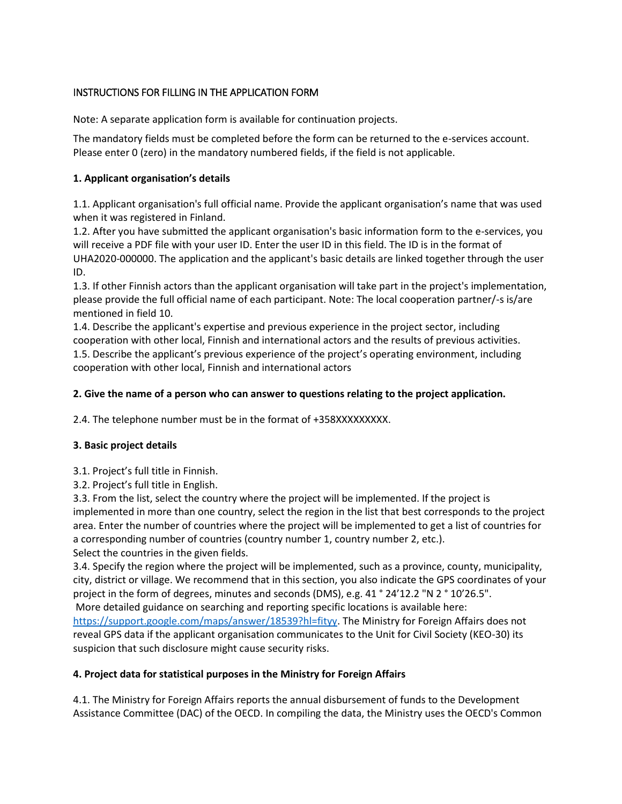# INSTRUCTIONS FOR FILLING IN THE APPLICATION FORM

Note: A separate application form is available for continuation projects.

The mandatory fields must be completed before the form can be returned to the e-services account. Please enter 0 (zero) in the mandatory numbered fields, if the field is not applicable.

### **1. Applicant organisation's details**

1.1. Applicant organisation's full official name. Provide the applicant organisation's name that was used when it was registered in Finland.

1.2. After you have submitted the applicant organisation's basic information form to the e-services, you will receive a PDF file with your user ID. Enter the user ID in this field. The ID is in the format of UHA2020-000000. The application and the applicant's basic details are linked together through the user ID.

1.3. If other Finnish actors than the applicant organisation will take part in the project's implementation, please provide the full official name of each participant. Note: The local cooperation partner/-s is/are mentioned in field 10.

1.4. Describe the applicant's expertise and previous experience in the project sector, including cooperation with other local, Finnish and international actors and the results of previous activities. 1.5. Describe the applicant's previous experience of the project's operating environment, including cooperation with other local, Finnish and international actors

# **2. Give the name of a person who can answer to questions relating to the project application.**

2.4. The telephone number must be in the format of +358XXXXXXXXX.

### **3. Basic project details**

3.1. Project's full title in Finnish.

3.2. Project's full title in English.

3.3. From the list, select the country where the project will be implemented. If the project is implemented in more than one country, select the region in the list that best corresponds to the project area. Enter the number of countries where the project will be implemented to get a list of countries for a corresponding number of countries (country number 1, country number 2, etc.). Select the countries in the given fields.

3.4. Specify the region where the project will be implemented, such as a province, county, municipality, city, district or village. We recommend that in this section, you also indicate the GPS coordinates of your project in the form of degrees, minutes and seconds (DMS), e.g. 41 ° 24'12.2 "N 2 ° 10'26.5". More detailed guidance on searching and reporting specific locations is available here: [https://support.google.com/maps/answer/18539?hl=fityy.](https://support.google.com/maps/answer/18539?hl=fityy) The Ministry for Foreign Affairs does not reveal GPS data if the applicant organisation communicates to the Unit for Civil Society (KEO-30) its

suspicion that such disclosure might cause security risks.

### **4. Project data for statistical purposes in the Ministry for Foreign Affairs**

4.1. The Ministry for Foreign Affairs reports the annual disbursement of funds to the Development Assistance Committee (DAC) of the OECD. In compiling the data, the Ministry uses the OECD's Common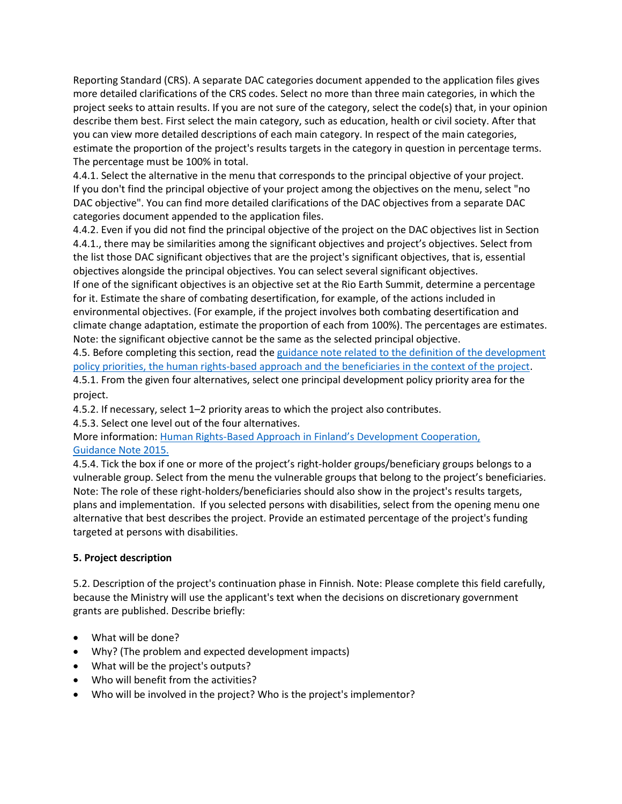Reporting Standard (CRS). A separate DAC categories document appended to the application files gives more detailed clarifications of the CRS codes. Select no more than three main categories, in which the project seeks to attain results. If you are not sure of the category, select the code(s) that, in your opinion describe them best. First select the main category, such as education, health or civil society. After that you can view more detailed descriptions of each main category. In respect of the main categories, estimate the proportion of the project's results targets in the category in question in percentage terms. The percentage must be 100% in total.

4.4.1. Select the alternative in the menu that corresponds to the principal objective of your project. If you don't find the principal objective of your project among the objectives on the menu, select "no DAC objective". You can find more detailed clarifications of the DAC objectives from a separate DAC categories document appended to the application files.

4.4.2. Even if you did not find the principal objective of the project on the DAC objectives list in Section 4.4.1., there may be similarities among the significant objectives and project's objectives. Select from the list those DAC significant objectives that are the project's significant objectives, that is, essential objectives alongside the principal objectives. You can select several significant objectives.

If one of the significant objectives is an objective set at the Rio Earth Summit, determine a percentage for it. Estimate the share of combating desertification, for example, of the actions included in environmental objectives. (For example, if the project involves both combating desertification and climate change adaptation, estimate the proportion of each from 100%). The percentages are estimates. Note: the significant objective cannot be the same as the selected principal objective.

4.5. Before completing this section, read the [guidance note related to the definition of the development](https://um.fi/documents/397000/0/JULKAISUVERSIO+Ohje+hankkeen+tilastolliseen+m%C3%A4%C3%A4ritt%C3%A4miseen+2022.pdf/fa54231e-89a7-c6ee-e02a-9b29fd1c406b?t=1642769538007)  [policy priorities, the human rights-based approach and the beneficiaries in the context of the project.](https://um.fi/documents/397000/0/JULKAISUVERSIO+Ohje+hankkeen+tilastolliseen+m%C3%A4%C3%A4ritt%C3%A4miseen+2022.pdf/fa54231e-89a7-c6ee-e02a-9b29fd1c406b?t=1642769538007) 4.5.1. From the given four alternatives, select one principal development policy priority area for the project.

4.5.2. If necessary, select 1–2 priority areas to which the project also contributes.

4.5.3. Select one level out of the four alternatives.

More information: Human Rights-[Based Approach in Finland's Deve](https://um.fi/documents/35732/48132/human_rights_based_approach_in_finlands_development_cooperation_-_guidance_note_2015_pdf_32_sivua_118_mt.pdf/b757f2f3-6103-7a43-1508-ba1bbbe3908d?t=1560452713123)lopment Cooperation, [Guidance Note 2015.](https://um.fi/documents/35732/48132/human_rights_based_approach_in_finlands_development_cooperation_-_guidance_note_2015_pdf_32_sivua_118_mt.pdf/b757f2f3-6103-7a43-1508-ba1bbbe3908d?t=1560452713123)

4.5.4. Tick the box if one or more of the project's right-holder groups/beneficiary groups belongs to a vulnerable group. Select from the menu the vulnerable groups that belong to the project's beneficiaries. Note: The role of these right-holders/beneficiaries should also show in the project's results targets, plans and implementation. If you selected persons with disabilities, select from the opening menu one alternative that best describes the project. Provide an estimated percentage of the project's funding targeted at persons with disabilities.

# **5. Project description**

5.2. Description of the project's continuation phase in Finnish. Note: Please complete this field carefully, because the Ministry will use the applicant's text when the decisions on discretionary government grants are published. Describe briefly:

- What will be done?
- Why? (The problem and expected development impacts)
- What will be the project's outputs?
- Who will benefit from the activities?
- Who will be involved in the project? Who is the project's implementor?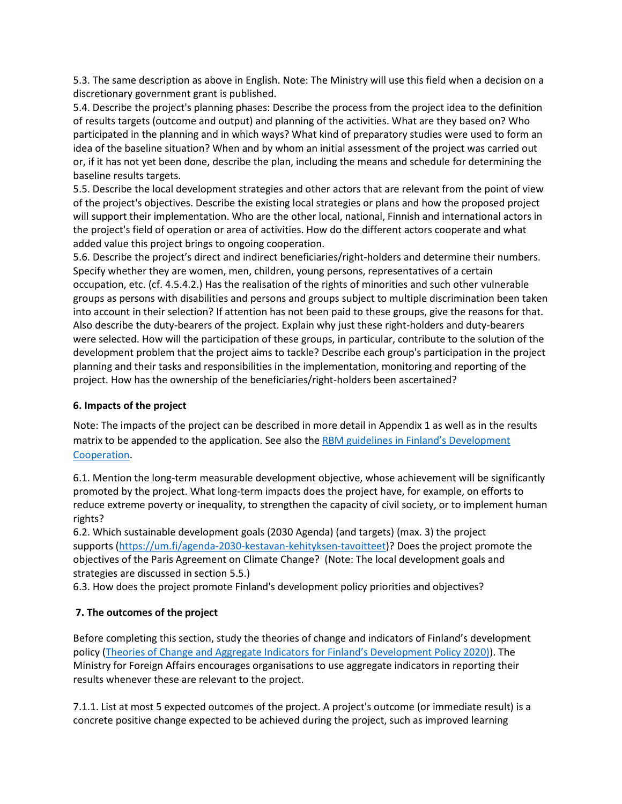5.3. The same description as above in English. Note: The Ministry will use this field when a decision on a discretionary government grant is published.

5.4. Describe the project's planning phases: Describe the process from the project idea to the definition of results targets (outcome and output) and planning of the activities. What are they based on? Who participated in the planning and in which ways? What kind of preparatory studies were used to form an idea of the baseline situation? When and by whom an initial assessment of the project was carried out or, if it has not yet been done, describe the plan, including the means and schedule for determining the baseline results targets.

5.5. Describe the local development strategies and other actors that are relevant from the point of view of the project's objectives. Describe the existing local strategies or plans and how the proposed project will support their implementation. Who are the other local, national, Finnish and international actors in the project's field of operation or area of activities. How do the different actors cooperate and what added value this project brings to ongoing cooperation.

5.6. Describe the project's direct and indirect beneficiaries/right-holders and determine their numbers. Specify whether they are women, men, children, young persons, representatives of a certain occupation, etc. (cf. 4.5.4.2.) Has the realisation of the rights of minorities and such other vulnerable groups as persons with disabilities and persons and groups subject to multiple discrimination been taken into account in their selection? If attention has not been paid to these groups, give the reasons for that. Also describe the duty-bearers of the project. Explain why just these right-holders and duty-bearers were selected. How will the participation of these groups, in particular, contribute to the solution of the development problem that the project aims to tackle? Describe each group's participation in the project planning and their tasks and responsibilities in the implementation, monitoring and reporting of the project. How has the ownership of the beneficiaries/right-holders been ascertained?

### **6. Impacts of the project**

Note: The impacts of the project can be described in more detail in Appendix 1 as well as in the results matrix to be appended to the application. See also the RBM guidelines in Finland's Development [Cooperation.](https://um.fi/documents/35732/48132/results_based_management__rbm__in_finland_s_development_cooperation)

6.1. Mention the long-term measurable development objective, whose achievement will be significantly promoted by the project. What long-term impacts does the project have, for example, on efforts to reduce extreme poverty or inequality, to strengthen the capacity of civil society, or to implement human rights?

6.2. Which sustainable development goals (2030 Agenda) (and targets) (max. 3) the project supports [\(https://um.fi/agenda-2030-kestavan-kehityksen-tavoitteet\)](https://um.fi/agenda-2030-kestavan-kehityksen-tavoitteet)? Does the project promote the objectives of the Paris Agreement on Climate Change? (Note: The local development goals and strategies are discussed in section 5.5.)

6.3. How does the project promote Finland's development policy priorities and objectives?

# **7. The outcomes of the project**

Before completing this section, study the theories of change and indicators of Finland's development policy (Theories of Change and [Aggregate Indicators for Finland's Development Policy 2020\)](https://um.fi/publications/-/asset_publisher/TVOLgBmLyZvu/content/suomen-kehityspolitiikan-tuloskartat-ja-indikaattorit-2020)). The Ministry for Foreign Affairs encourages organisations to use aggregate indicators in reporting their results whenever these are relevant to the project.

7.1.1. List at most 5 expected outcomes of the project. A project's outcome (or immediate result) is a concrete positive change expected to be achieved during the project, such as improved learning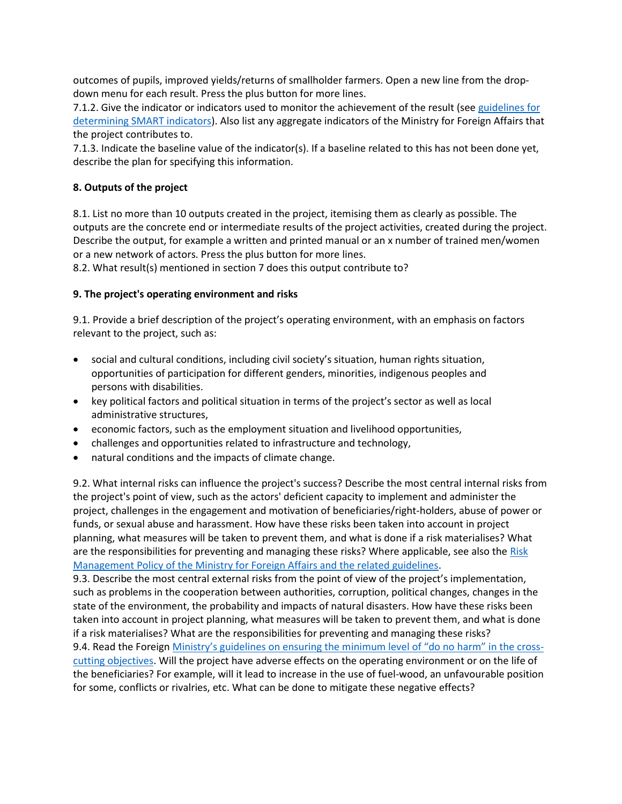outcomes of pupils, improved yields/returns of smallholder farmers. Open a new line from the dropdown menu for each result. Press the plus button for more lines.

7.1.2. Give the indicator or indicators used to monitor the achievement of the result (see guidelines for [determining SMART indicators\)](https://um.fi/documents/397000/0/Ohjeistus+SMART+indikaattori.doc/064852b5-d7b0-f5da-6682-407b90e94ef5?t=1579166551653). Also list any aggregate indicators of the Ministry for Foreign Affairs that the project contributes to.

7.1.3. Indicate the baseline value of the indicator(s). If a baseline related to this has not been done yet, describe the plan for specifying this information.

### **8. Outputs of the project**

8.1. List no more than 10 outputs created in the project, itemising them as clearly as possible. The outputs are the concrete end or intermediate results of the project activities, created during the project. Describe the output, for example a written and printed manual or an x number of trained men/women or a new network of actors. Press the plus button for more lines.

8.2. What result(s) mentioned in section 7 does this output contribute to?

### **9. The project's operating environment and risks**

9.1. Provide a brief description of the project's operating environment, with an emphasis on factors relevant to the project, such as:

- social and cultural conditions, including civil society's situation, human rights situation, opportunities of participation for different genders, minorities, indigenous peoples and persons with disabilities.
- key political factors and political situation in terms of the project's sector as well as local administrative structures,
- economic factors, such as the employment situation and livelihood opportunities,
- challenges and opportunities related to infrastructure and technology,
- natural conditions and the impacts of climate change.

9.2. What internal risks can influence the project's success? Describe the most central internal risks from the project's point of view, such as the actors' deficient capacity to implement and administer the project, challenges in the engagement and motivation of beneficiaries/right-holders, abuse of power or funds, or sexual abuse and harassment. How have these risks been taken into account in project planning, what measures will be taken to prevent them, and what is done if a risk materialises? What are the responsibilities for preventing and managing these risks? Where applicable, see also the Risk [Management Policy of the Ministry for Foreign Affairs and the related guidelines.](https://um.fi/julkaisut/-/asset_publisher/TVOLgBmLyZvu/content/kehitysyhteistyon-riskienhallintapolitiikka)

9.3. Describe the most central external risks from the point of view of the project's implementation, such as problems in the cooperation between authorities, corruption, political changes, changes in the state of the environment, the probability and impacts of natural disasters. How have these risks been taken into account in project planning, what measures will be taken to prevent them, and what is done if a risk materialises? What are the responsibilities for preventing and managing these risks? 9.4. Read the Foreign [Ministry's guidelines on ensuring the minimum level of "do no harm" in the cross](https://um.fi/publications/-/asset_publisher/TVOLgBmLyZvu/content/kehityspolitiikan-l-c3-a4pileikkaavien-tavoitteiden-ohjeistus)-

[cutting objectives.](https://um.fi/publications/-/asset_publisher/TVOLgBmLyZvu/content/kehityspolitiikan-l-c3-a4pileikkaavien-tavoitteiden-ohjeistus) Will the project have adverse effects on the operating environment or on the life of the beneficiaries? For example, will it lead to increase in the use of fuel-wood, an unfavourable position for some, conflicts or rivalries, etc. What can be done to mitigate these negative effects?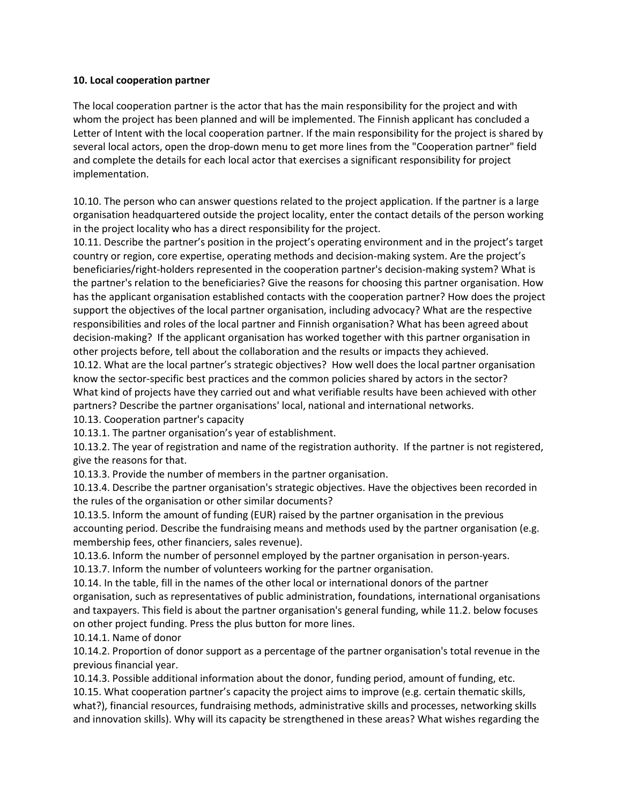#### **10. Local cooperation partner**

The local cooperation partner is the actor that has the main responsibility for the project and with whom the project has been planned and will be implemented. The Finnish applicant has concluded a Letter of Intent with the local cooperation partner. If the main responsibility for the project is shared by several local actors, open the drop-down menu to get more lines from the "Cooperation partner" field and complete the details for each local actor that exercises a significant responsibility for project implementation.

10.10. The person who can answer questions related to the project application. If the partner is a large organisation headquartered outside the project locality, enter the contact details of the person working in the project locality who has a direct responsibility for the project.

10.11. Describe the partner's position in the project's operating environment and in the project's target country or region, core expertise, operating methods and decision-making system. Are the project's beneficiaries/right-holders represented in the cooperation partner's decision-making system? What is the partner's relation to the beneficiaries? Give the reasons for choosing this partner organisation. How has the applicant organisation established contacts with the cooperation partner? How does the project support the objectives of the local partner organisation, including advocacy? What are the respective responsibilities and roles of the local partner and Finnish organisation? What has been agreed about decision-making? If the applicant organisation has worked together with this partner organisation in other projects before, tell about the collaboration and the results or impacts they achieved.

10.12. What are the local partner's strategic objectives? How well does the local partner organisation know the sector-specific best practices and the common policies shared by actors in the sector? What kind of projects have they carried out and what verifiable results have been achieved with other partners? Describe the partner organisations' local, national and international networks.

10.13. Cooperation partner's capacity

10.13.1. The partner organisation's year of establishment.

10.13.2. The year of registration and name of the registration authority. If the partner is not registered, give the reasons for that.

10.13.3. Provide the number of members in the partner organisation.

10.13.4. Describe the partner organisation's strategic objectives. Have the objectives been recorded in the rules of the organisation or other similar documents?

10.13.5. Inform the amount of funding (EUR) raised by the partner organisation in the previous accounting period. Describe the fundraising means and methods used by the partner organisation (e.g. membership fees, other financiers, sales revenue).

10.13.6. Inform the number of personnel employed by the partner organisation in person-years. 10.13.7. Inform the number of volunteers working for the partner organisation.

10.14. In the table, fill in the names of the other local or international donors of the partner organisation, such as representatives of public administration, foundations, international organisations and taxpayers. This field is about the partner organisation's general funding, while 11.2. below focuses on other project funding. Press the plus button for more lines.

10.14.1. Name of donor

10.14.2. Proportion of donor support as a percentage of the partner organisation's total revenue in the previous financial year.

10.14.3. Possible additional information about the donor, funding period, amount of funding, etc.

10.15. What cooperation partner's capacity the project aims to improve (e.g. certain thematic skills, what?), financial resources, fundraising methods, administrative skills and processes, networking skills and innovation skills). Why will its capacity be strengthened in these areas? What wishes regarding the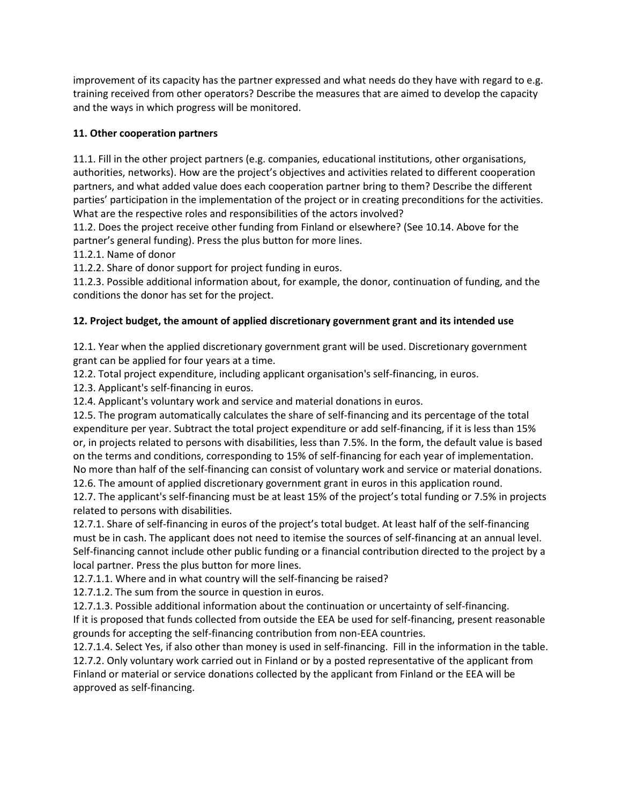improvement of its capacity has the partner expressed and what needs do they have with regard to e.g. training received from other operators? Describe the measures that are aimed to develop the capacity and the ways in which progress will be monitored.

### **11. Other cooperation partners**

11.1. Fill in the other project partners (e.g. companies, educational institutions, other organisations, authorities, networks). How are the project's objectives and activities related to different cooperation partners, and what added value does each cooperation partner bring to them? Describe the different parties' participation in the implementation of the project or in creating preconditions for the activities. What are the respective roles and responsibilities of the actors involved?

11.2. Does the project receive other funding from Finland or elsewhere? (See 10.14. Above for the partner's general funding). Press the plus button for more lines.

11.2.1. Name of donor

11.2.2. Share of donor support for project funding in euros.

11.2.3. Possible additional information about, for example, the donor, continuation of funding, and the conditions the donor has set for the project.

### **12. Project budget, the amount of applied discretionary government grant and its intended use**

12.1. Year when the applied discretionary government grant will be used. Discretionary government grant can be applied for four years at a time.

12.2. Total project expenditure, including applicant organisation's self-financing, in euros.

12.3. Applicant's self-financing in euros.

12.4. Applicant's voluntary work and service and material donations in euros.

12.5. The program automatically calculates the share of self-financing and its percentage of the total expenditure per year. Subtract the total project expenditure or add self-financing, if it is less than 15% or, in projects related to persons with disabilities, less than 7.5%. In the form, the default value is based on the terms and conditions, corresponding to 15% of self-financing for each year of implementation. No more than half of the self-financing can consist of voluntary work and service or material donations. 12.6. The amount of applied discretionary government grant in euros in this application round.

12.7. The applicant's self-financing must be at least 15% of the project's total funding or 7.5% in projects related to persons with disabilities.

12.7.1. Share of self-financing in euros of the project's total budget. At least half of the self-financing must be in cash. The applicant does not need to itemise the sources of self-financing at an annual level. Self-financing cannot include other public funding or a financial contribution directed to the project by a local partner. Press the plus button for more lines.

12.7.1.1. Where and in what country will the self-financing be raised?

12.7.1.2. The sum from the source in question in euros.

12.7.1.3. Possible additional information about the continuation or uncertainty of self-financing.

If it is proposed that funds collected from outside the EEA be used for self-financing, present reasonable grounds for accepting the self-financing contribution from non-EEA countries.

12.7.1.4. Select Yes, if also other than money is used in self-financing. Fill in the information in the table. 12.7.2. Only voluntary work carried out in Finland or by a posted representative of the applicant from Finland or material or service donations collected by the applicant from Finland or the EEA will be approved as self-financing.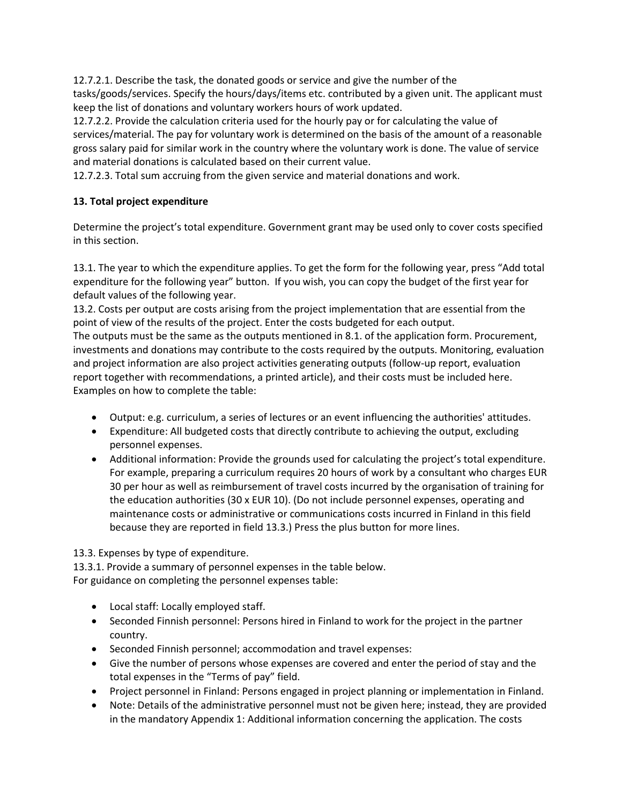12.7.2.1. Describe the task, the donated goods or service and give the number of the tasks/goods/services. Specify the hours/days/items etc. contributed by a given unit. The applicant must keep the list of donations and voluntary workers hours of work updated.

12.7.2.2. Provide the calculation criteria used for the hourly pay or for calculating the value of services/material. The pay for voluntary work is determined on the basis of the amount of a reasonable gross salary paid for similar work in the country where the voluntary work is done. The value of service and material donations is calculated based on their current value.

12.7.2.3. Total sum accruing from the given service and material donations and work.

# **13. Total project expenditure**

Determine the project's total expenditure. Government grant may be used only to cover costs specified in this section.

13.1. The year to which the expenditure applies. To get the form for the following year, press "Add total expenditure for the following year" button. If you wish, you can copy the budget of the first year for default values of the following year.

13.2. Costs per output are costs arising from the project implementation that are essential from the point of view of the results of the project. Enter the costs budgeted for each output.

The outputs must be the same as the outputs mentioned in 8.1. of the application form. Procurement, investments and donations may contribute to the costs required by the outputs. Monitoring, evaluation and project information are also project activities generating outputs (follow-up report, evaluation report together with recommendations, a printed article), and their costs must be included here. Examples on how to complete the table:

- Output: e.g. curriculum, a series of lectures or an event influencing the authorities' attitudes.
- Expenditure: All budgeted costs that directly contribute to achieving the output, excluding personnel expenses.
- Additional information: Provide the grounds used for calculating the project's total expenditure. For example, preparing a curriculum requires 20 hours of work by a consultant who charges EUR 30 per hour as well as reimbursement of travel costs incurred by the organisation of training for the education authorities (30 x EUR 10). (Do not include personnel expenses, operating and maintenance costs or administrative or communications costs incurred in Finland in this field because they are reported in field 13.3.) Press the plus button for more lines.

13.3. Expenses by type of expenditure.

13.3.1. Provide a summary of personnel expenses in the table below. For guidance on completing the personnel expenses table:

- Local staff: Locally employed staff.
- Seconded Finnish personnel: Persons hired in Finland to work for the project in the partner country.
- Seconded Finnish personnel; accommodation and travel expenses:
- Give the number of persons whose expenses are covered and enter the period of stay and the total expenses in the "Terms of pay" field.
- Project personnel in Finland: Persons engaged in project planning or implementation in Finland.
- Note: Details of the administrative personnel must not be given here; instead, they are provided in the mandatory Appendix 1: Additional information concerning the application. The costs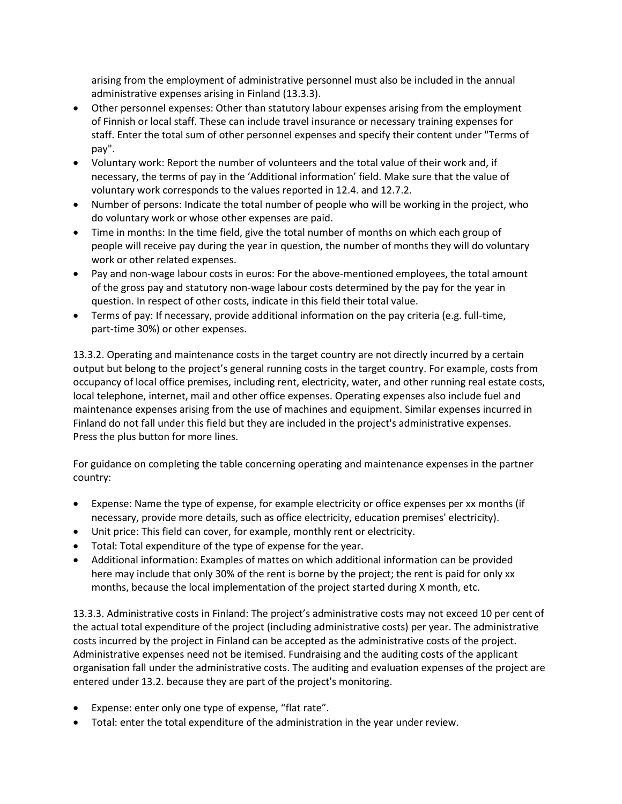arising from the employment of administrative personnel must also be included in the annual administrative expenses arising in Finland (13.3.3).

- Other personnel expenses: Other than statutory labour expenses arising from the employment of Finnish or local staff. These can include travel insurance or necessary training expenses for staff. Enter the total sum of other personnel expenses and specify their content under "Terms of pay".
- Voluntary work: Report the number of volunteers and the total value of their work and, if necessary, the terms of pay in the 'Additional information' field. Make sure that the value of voluntary work corresponds to the values reported in 12.4. and 12.7.2.
- Number of persons: Indicate the total number of people who will be working in the project, who do voluntary work or whose other expenses are paid.
- Time in months: In the time field, give the total number of months on which each group of people will receive pay during the year in question, the number of months they will do voluntary work or other related expenses.
- Pay and non-wage labour costs in euros: For the above-mentioned employees, the total amount of the gross pay and statutory non-wage labour costs determined by the pay for the year in question. In respect of other costs, indicate in this field their total value.
- Terms of pay: If necessary, provide additional information on the pay criteria (e.g. full-time, part-time 30%) or other expenses.

13.3.2. Operating and maintenance costs in the target country are not directly incurred by a certain output but belong to the project's general running costs in the target country. For example, costs from occupancy of local office premises, including rent, electricity, water, and other running real estate costs, local telephone, internet, mail and other office expenses. Operating expenses also include fuel and maintenance expenses arising from the use of machines and equipment. Similar expenses incurred in Finland do not fall under this field but they are included in the project's administrative expenses. Press the plus button for more lines.

For guidance on completing the table concerning operating and maintenance expenses in the partner country:

- Expense: Name the type of expense, for example electricity or office expenses per xx months (if necessary, provide more details, such as office electricity, education premises' electricity).
- Unit price: This field can cover, for example, monthly rent or electricity.
- Total: Total expenditure of the type of expense for the year.
- Additional information: Examples of mattes on which additional information can be provided here may include that only 30% of the rent is borne by the project; the rent is paid for only xx months, because the local implementation of the project started during X month, etc.

13.3.3. Administrative costs in Finland: The project's administrative costs may not exceed 10 per cent of the actual total expenditure of the project (including administrative costs) per year. The administrative costs incurred by the project in Finland can be accepted as the administrative costs of the project. Administrative expenses need not be itemised. Fundraising and the auditing costs of the applicant organisation fall under the administrative costs. The auditing and evaluation expenses of the project are entered under 13.2. because they are part of the project's monitoring.

- Expense: enter only one type of expense, "flat rate".
- Total: enter the total expenditure of the administration in the year under review.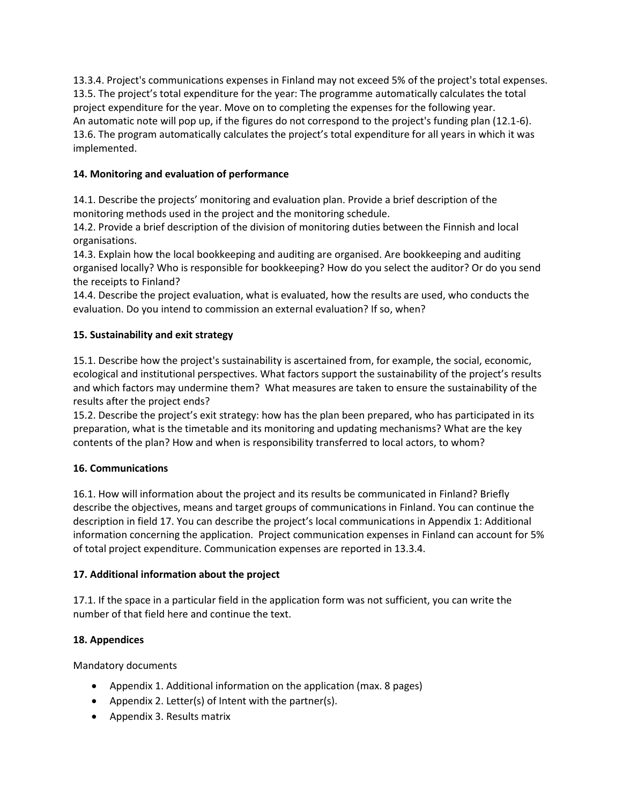13.3.4. Project's communications expenses in Finland may not exceed 5% of the project's total expenses. 13.5. The project's total expenditure for the year: The programme automatically calculates the total project expenditure for the year. Move on to completing the expenses for the following year. An automatic note will pop up, if the figures do not correspond to the project's funding plan (12.1-6). 13.6. The program automatically calculates the project's total expenditure for all years in which it was implemented.

# **14. Monitoring and evaluation of performance**

14.1. Describe the projects' monitoring and evaluation plan. Provide a brief description of the monitoring methods used in the project and the monitoring schedule.

14.2. Provide a brief description of the division of monitoring duties between the Finnish and local organisations.

14.3. Explain how the local bookkeeping and auditing are organised. Are bookkeeping and auditing organised locally? Who is responsible for bookkeeping? How do you select the auditor? Or do you send the receipts to Finland?

14.4. Describe the project evaluation, what is evaluated, how the results are used, who conducts the evaluation. Do you intend to commission an external evaluation? If so, when?

# **15. Sustainability and exit strategy**

15.1. Describe how the project's sustainability is ascertained from, for example, the social, economic, ecological and institutional perspectives. What factors support the sustainability of the project's results and which factors may undermine them? What measures are taken to ensure the sustainability of the results after the project ends?

15.2. Describe the project's exit strategy: how has the plan been prepared, who has participated in its preparation, what is the timetable and its monitoring and updating mechanisms? What are the key contents of the plan? How and when is responsibility transferred to local actors, to whom?

# **16. Communications**

16.1. How will information about the project and its results be communicated in Finland? Briefly describe the objectives, means and target groups of communications in Finland. You can continue the description in field 17. You can describe the project's local communications in Appendix 1: Additional information concerning the application. Project communication expenses in Finland can account for 5% of total project expenditure. Communication expenses are reported in 13.3.4.

# **17. Additional information about the project**

17.1. If the space in a particular field in the application form was not sufficient, you can write the number of that field here and continue the text.

# **18. Appendices**

Mandatory documents

- Appendix 1. Additional information on the application (max. 8 pages)
- Appendix 2. Letter(s) of Intent with the partner(s).
- Appendix 3. Results matrix